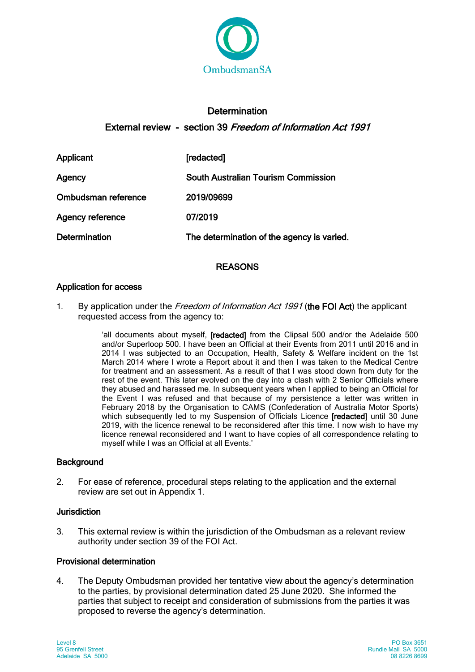

# **Determination** External review - section 39 Freedom of Information Act 1991

Applicant [redacted] Agency South Australian Tourism Commission Ombudsman reference 2019/09699 Agency reference 07/2019 Determination The determination of the agency is varied.

# REASONS

# Application for access

1. By application under the Freedom of Information Act 1991 (the FOI Act) the applicant requested access from the agency to:

> 'all documents about myself, [redacted] from the Clipsal 500 and/or the Adelaide 500 and/or Superloop 500. I have been an Official at their Events from 2011 until 2016 and in 2014 I was subjected to an Occupation, Health, Safety & Welfare incident on the 1st March 2014 where I wrote a Report about it and then I was taken to the Medical Centre for treatment and an assessment. As a result of that I was stood down from duty for the rest of the event. This later evolved on the day into a clash with 2 Senior Officials where they abused and harassed me. In subsequent years when I applied to being an Official for the Event I was refused and that because of my persistence a letter was written in February 2018 by the Organisation to CAMS (Confederation of Australia Motor Sports) which subsequently led to my Suspension of Officials Licence [redacted] until 30 June 2019, with the licence renewal to be reconsidered after this time. I now wish to have my licence renewal reconsidered and I want to have copies of all correspondence relating to myself while I was an Official at all Events.'

#### **Background**

2. For ease of reference, procedural steps relating to the application and the external review are set out in Appendix 1.

#### Jurisdiction

3. This external review is within the jurisdiction of the Ombudsman as a relevant review authority under section 39 of the FOI Act.

#### Provisional determination

4. The Deputy Ombudsman provided her tentative view about the agency's determination to the parties, by provisional determination dated 25 June 2020. She informed the parties that subject to receipt and consideration of submissions from the parties it was proposed to reverse the agency's determination.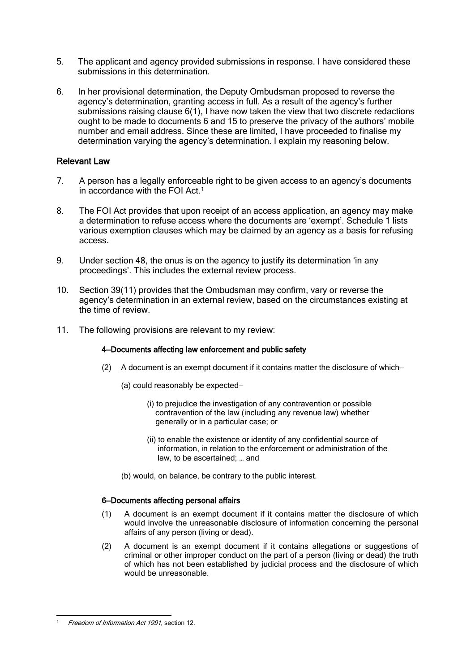- 5. The applicant and agency provided submissions in response. I have considered these submissions in this determination.
- 6. In her provisional determination, the Deputy Ombudsman proposed to reverse the agency's determination, granting access in full. As a result of the agency's further submissions raising clause 6(1), I have now taken the view that two discrete redactions ought to be made to documents 6 and 15 to preserve the privacy of the authors' mobile number and email address. Since these are limited, I have proceeded to finalise my determination varying the agency's determination. I explain my reasoning below.

#### Relevant Law

- 7. A person has a legally enforceable right to be given access to an agency's documents in accordance with the FOI Act.<sup>[1](#page-1-0)</sup>
- 8. The FOI Act provides that upon receipt of an access application, an agency may make a determination to refuse access where the documents are 'exempt'. Schedule 1 lists various exemption clauses which may be claimed by an agency as a basis for refusing access.
- 9. Under section 48, the onus is on the agency to justify its determination 'in any proceedings'. This includes the external review process.
- 10. Section 39(11) provides that the Ombudsman may confirm, vary or reverse the agency's determination in an external review, based on the circumstances existing at the time of review.
- 11. The following provisions are relevant to my review:

#### 4—Documents affecting law enforcement and public safety

- (2) A document is an exempt document if it contains matter the disclosure of which—
	- (a) could reasonably be expected—
		- (i) to prejudice the investigation of any contravention or possible contravention of the law (including any revenue law) whether generally or in a particular case; or
		- (ii) to enable the existence or identity of any confidential source of information, in relation to the enforcement or administration of the law, to be ascertained; … and
	- (b) would, on balance, be contrary to the public interest.

#### 6—Documents affecting personal affairs

- (1) A document is an exempt document if it contains matter the disclosure of which would involve the unreasonable disclosure of information concerning the personal affairs of any person (living or dead).
- (2) A document is an exempt document if it contains allegations or suggestions of criminal or other improper conduct on the part of a person (living or dead) the truth of which has not been established by judicial process and the disclosure of which would be unreasonable.

<span id="page-1-0"></span>Freedom of Information Act 1991, section 12.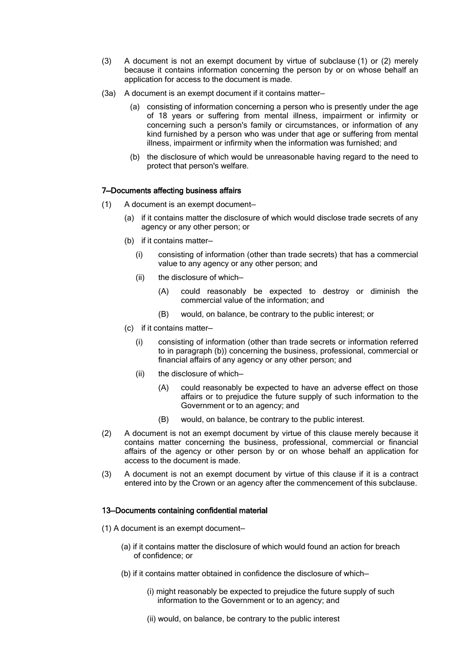- (3) A document is not an exempt document by virtue of subclause (1) or (2) merely because it contains information concerning the person by or on whose behalf an application for access to the document is made.
- (3a) A document is an exempt document if it contains matter—
	- (a) consisting of information concerning a person who is presently under the age of 18 years or suffering from mental illness, impairment or infirmity or concerning such a person's family or circumstances, or information of any kind furnished by a person who was under that age or suffering from mental illness, impairment or infirmity when the information was furnished; and
	- (b) the disclosure of which would be unreasonable having regard to the need to protect that person's welfare.

#### 7—Documents affecting business affairs

- (1) A document is an exempt document—
	- (a) if it contains matter the disclosure of which would disclose trade secrets of any agency or any other person; or
	- (b) if it contains matter—
		- (i) consisting of information (other than trade secrets) that has a commercial value to any agency or any other person; and
		- (ii) the disclosure of which—
			- (A) could reasonably be expected to destroy or diminish the commercial value of the information; and
			- (B) would, on balance, be contrary to the public interest; or
	- (c) if it contains matter—
		- (i) consisting of information (other than trade secrets or information referred to in paragraph (b)) concerning the business, professional, commercial or financial affairs of any agency or any other person; and
		- (ii) the disclosure of which—
			- (A) could reasonably be expected to have an adverse effect on those affairs or to prejudice the future supply of such information to the Government or to an agency; and
			- (B) would, on balance, be contrary to the public interest.
- (2) A document is not an exempt document by virtue of this clause merely because it contains matter concerning the business, professional, commercial or financial affairs of the agency or other person by or on whose behalf an application for access to the document is made.
- (3) A document is not an exempt document by virtue of this clause if it is a contract entered into by the Crown or an agency after the commencement of this subclause.

#### 13—Documents containing confidential material

- (1) A document is an exempt document—
	- (a) if it contains matter the disclosure of which would found an action for breach of confidence; or
	- (b) if it contains matter obtained in confidence the disclosure of which—
		- (i) might reasonably be expected to prejudice the future supply of such information to the Government or to an agency; and
		- (ii) would, on balance, be contrary to the public interest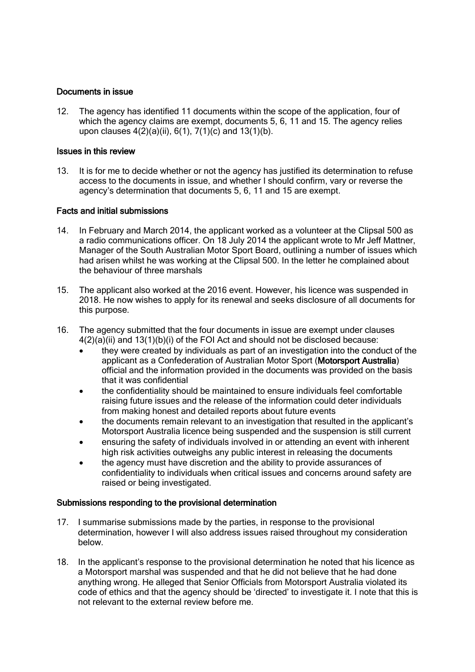#### Documents in issue

12. The agency has identified 11 documents within the scope of the application, four of which the agency claims are exempt, documents 5, 6, 11 and 15. The agency relies upon clauses  $4(2)(a)(ii)$ ,  $6(1)$ ,  $7(1)(c)$  and  $13(1)(b)$ .

#### Issues in this review

13. It is for me to decide whether or not the agency has justified its determination to refuse access to the documents in issue, and whether I should confirm, vary or reverse the agency's determination that documents 5, 6, 11 and 15 are exempt.

#### Facts and initial submissions

- 14. In February and March 2014, the applicant worked as a volunteer at the Clipsal 500 as a radio communications officer. On 18 July 2014 the applicant wrote to Mr Jeff Mattner, Manager of the South Australian Motor Sport Board, outlining a number of issues which had arisen whilst he was working at the Clipsal 500. In the letter he complained about the behaviour of three marshals
- 15. The applicant also worked at the 2016 event. However, his licence was suspended in 2018. He now wishes to apply for its renewal and seeks disclosure of all documents for this purpose.
- 16. The agency submitted that the four documents in issue are exempt under clauses  $4(2)(a)(ii)$  and  $13(1)(b)(i)$  of the FOI Act and should not be disclosed because:
	- they were created by individuals as part of an investigation into the conduct of the applicant as a Confederation of Australian Motor Sport (Motorsport Australia) official and the information provided in the documents was provided on the basis that it was confidential
	- the confidentiality should be maintained to ensure individuals feel comfortable raising future issues and the release of the information could deter individuals from making honest and detailed reports about future events
	- the documents remain relevant to an investigation that resulted in the applicant's Motorsport Australia licence being suspended and the suspension is still current
	- ensuring the safety of individuals involved in or attending an event with inherent high risk activities outweighs any public interest in releasing the documents
	- the agency must have discretion and the ability to provide assurances of confidentiality to individuals when critical issues and concerns around safety are raised or being investigated.

#### Submissions responding to the provisional determination

- 17. I summarise submissions made by the parties, in response to the provisional determination, however I will also address issues raised throughout my consideration below.
- 18. In the applicant's response to the provisional determination he noted that his licence as a Motorsport marshal was suspended and that he did not believe that he had done anything wrong. He alleged that Senior Officials from Motorsport Australia violated its code of ethics and that the agency should be 'directed' to investigate it. I note that this is not relevant to the external review before me.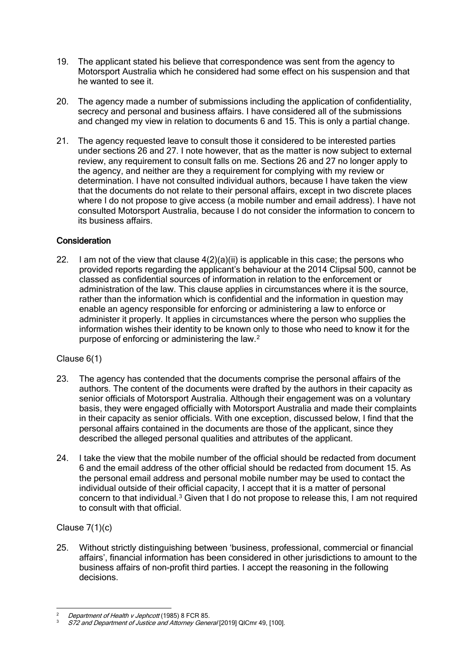- 19. The applicant stated his believe that correspondence was sent from the agency to Motorsport Australia which he considered had some effect on his suspension and that he wanted to see it.
- 20. The agency made a number of submissions including the application of confidentiality, secrecy and personal and business affairs. I have considered all of the submissions and changed my view in relation to documents 6 and 15. This is only a partial change.
- 21. The agency requested leave to consult those it considered to be interested parties under sections 26 and 27. I note however, that as the matter is now subject to external review, any requirement to consult falls on me. Sections 26 and 27 no longer apply to the agency, and neither are they a requirement for complying with my review or determination. I have not consulted individual authors, because I have taken the view that the documents do not relate to their personal affairs, except in two discrete places where I do not propose to give access (a mobile number and email address). I have not consulted Motorsport Australia, because I do not consider the information to concern to its business affairs.

### **Consideration**

22. I am not of the view that clause  $4(2)(a)(ii)$  is applicable in this case; the persons who provided reports regarding the applicant's behaviour at the 2014 Clipsal 500, cannot be classed as confidential sources of information in relation to the enforcement or administration of the law. This clause applies in circumstances where it is the source, rather than the information which is confidential and the information in question may enable an agency responsible for enforcing or administering a law to enforce or administer it properly. It applies in circumstances where the person who supplies the information wishes their identity to be known only to those who need to know it for the purpose of enforcing or administering the law.[2](#page-4-0)

# Clause 6(1)

- 23. The agency has contended that the documents comprise the personal affairs of the authors. The content of the documents were drafted by the authors in their capacity as senior officials of Motorsport Australia. Although their engagement was on a voluntary basis, they were engaged officially with Motorsport Australia and made their complaints in their capacity as senior officials. With one exception, discussed below, I find that the personal affairs contained in the documents are those of the applicant, since they described the alleged personal qualities and attributes of the applicant.
- 24. I take the view that the mobile number of the official should be redacted from document 6 and the email address of the other official should be redacted from document 15. As the personal email address and personal mobile number may be used to contact the individual outside of their official capacity, I accept that it is a matter of personal concern to that individual.<sup>[3](#page-4-1)</sup> Given that I do not propose to release this, I am not required to consult with that official.

# Clause 7(1)(c)

25. Without strictly distinguishing between 'business, professional, commercial or financial affairs', financial information has been considered in other jurisdictions to amount to the business affairs of non-profit third parties. I accept the reasoning in the following decisions.

Department of Health v Jephcott (1985) 8 FCR 85.

<span id="page-4-1"></span><span id="page-4-0"></span><sup>3</sup> S72 and Department of Justice and Attorney General [2019] QlCmr 49, [100].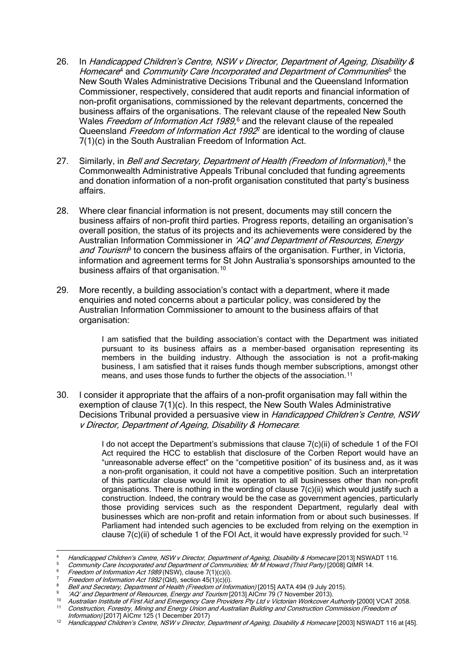- 26. In Handicapped Children's Centre, NSW v Director, Department of Ageing, Disability & Homecare<sup>[4](#page-5-0)</sup> and Community Care Incorporated and Department of Communities<sup>[5](#page-5-1)</sup> the New South Wales Administrative Decisions Tribunal and the Queensland Information Commissioner, respectively, considered that audit reports and financial information of non-profit organisations, commissioned by the relevant departments, concerned the business affairs of the organisations. The relevant clause of the repealed New South Wales Freedom of Information Act 1989,<sup>[6](#page-5-2)</sup> and the relevant clause of the repealed Queensland *Freedom of Information Act 1992*<sup>[7](#page-5-3)</sup> are identical to the wording of clause 7(1)(c) in the South Australian Freedom of Information Act.
- 27. Similarly, in *Bell and Secretary, Department of Health (Freedom of Information*),<sup>[8](#page-5-4)</sup> the Commonwealth Administrative Appeals Tribunal concluded that funding agreements and donation information of a non-profit organisation constituted that party's business affairs.
- 28. Where clear financial information is not present, documents may still concern the business affairs of non-profit third parties. Progress reports, detailing an organisation's overall position, the status of its projects and its achievements were considered by the Australian Information Commissioner in 'AQ' and Department of Resources, Energy and Tourism<sup>[9](#page-5-5)</sup> to concern the business affairs of the organisation. Further, in Victoria, information and agreement terms for St John Australia's sponsorships amounted to the business affairs of that organisation.<sup>[10](#page-5-6)</sup>
- 29. More recently, a building association's contact with a department, where it made enquiries and noted concerns about a particular policy, was considered by the Australian Information Commissioner to amount to the business affairs of that organisation:

I am satisfied that the building association's contact with the Department was initiated pursuant to its business affairs as a member-based organisation representing its members in the building industry. Although the association is not a profit-making business, I am satisfied that it raises funds though member subscriptions, amongst other means, and uses those funds to further the objects of the association.<sup>[11](#page-5-7)</sup>

30. I consider it appropriate that the affairs of a non-profit organisation may fall within the exemption of clause 7(1)(c). In this respect, the New South Wales Administrative Decisions Tribunal provided a persuasive view in Handicapped Children's Centre, NSW v Director, Department of Ageing, Disability & Homecare:

> I do not accept the Department's submissions that clause 7(c)(ii) of schedule 1 of the FOI Act required the HCC to establish that disclosure of the Corben Report would have an "unreasonable adverse effect" on the "competitive position" of its business and, as it was a non-profit organisation, it could not have a competitive position. Such an interpretation of this particular clause would limit its operation to all businesses other than non-profit organisations. There is nothing in the wording of clause 7(c)(ii) which would justify such a construction. Indeed, the contrary would be the case as government agencies, particularly those providing services such as the respondent Department, regularly deal with businesses which are non-profit and retain information from or about such businesses. If Parliament had intended such agencies to be excluded from relying on the exemption in clause  $7(c)$ (ii) of schedule 1 of the FOI Act, it would have expressly provided for such.<sup>[12](#page-5-8)</sup>

<span id="page-5-1"></span><span id="page-5-0"></span><sup>&</sup>lt;sup>4</sup> Handicapped Children's Centre, NSW v Director, Department of Ageing, Disability & Homecare [2013] NSWADT 116.<br><sup>5</sup> Community Care Incorporated and Department of Communities: Mr M Howard (Third Party) [2008] QIMR 14.

<span id="page-5-4"></span><span id="page-5-3"></span>

<span id="page-5-7"></span><span id="page-5-6"></span><span id="page-5-5"></span>

<span id="page-5-2"></span><sup>&</sup>lt;sup>6</sup><br> *Freedom of Information Act 1989* (NSW), clause 7(1)(c)(i).<br> *Preedom of Information Act 1992* (Qld), section 45(1)(c)(i).<br> *Bell and Secretary, Department of Health (Freedom of Information)* [2015] AATA 494 (9 July 2

<span id="page-5-8"></span><sup>&</sup>lt;sup>12</sup> Handicapped Children's Centre, NSW v Director, Department of Ageing, Disability & Homecare [2003] NSWADT 116 at [45].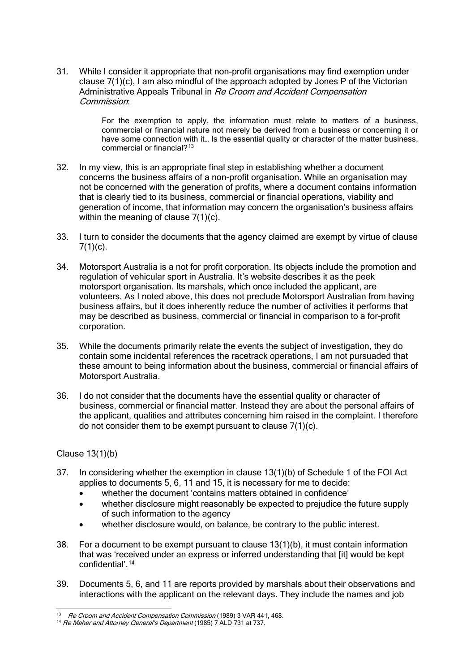31. While I consider it appropriate that non-profit organisations may find exemption under clause 7(1)(c), I am also mindful of the approach adopted by Jones P of the Victorian Administrative Appeals Tribunal in Re Croom and Accident Compensation Commission:

> For the exemption to apply, the information must relate to matters of a business, commercial or financial nature not merely be derived from a business or concerning it or have some connection with it... Is the essential quality or character of the matter business, commercial or financial?[13](#page-6-0)

- 32. In my view, this is an appropriate final step in establishing whether a document concerns the business affairs of a non-profit organisation. While an organisation may not be concerned with the generation of profits, where a document contains information that is clearly tied to its business, commercial or financial operations, viability and generation of income, that information may concern the organisation's business affairs within the meaning of clause 7(1)(c).
- 33. I turn to consider the documents that the agency claimed are exempt by virtue of clause  $7(1)(c)$ .
- 34. Motorsport Australia is a not for profit corporation. Its objects include the promotion and regulation of vehicular sport in Australia. It's website describes it as the peek motorsport organisation. Its marshals, which once included the applicant, are volunteers. As I noted above, this does not preclude Motorsport Australian from having business affairs, but it does inherently reduce the number of activities it performs that may be described as business, commercial or financial in comparison to a for-profit corporation.
- 35. While the documents primarily relate the events the subject of investigation, they do contain some incidental references the racetrack operations, I am not pursuaded that these amount to being information about the business, commercial or financial affairs of Motorsport Australia.
- 36. I do not consider that the documents have the essential quality or character of business, commercial or financial matter. Instead they are about the personal affairs of the applicant, qualities and attributes concerning him raised in the complaint. I therefore do not consider them to be exempt pursuant to clause 7(1)(c).

Clause 13(1)(b)

- 37. In considering whether the exemption in clause 13(1)(b) of Schedule 1 of the FOI Act applies to documents 5, 6, 11 and 15, it is necessary for me to decide:
	- whether the document 'contains matters obtained in confidence'
	- whether disclosure might reasonably be expected to prejudice the future supply of such information to the agency
	- whether disclosure would, on balance, be contrary to the public interest.
- 38. For a document to be exempt pursuant to clause 13(1)(b), it must contain information that was 'received under an express or inferred understanding that [it] would be kept confidential'.[14](#page-6-1)
- 39. Documents 5, 6, and 11 are reports provided by marshals about their observations and interactions with the applicant on the relevant days. They include the names and job

<span id="page-6-0"></span><sup>&</sup>lt;sup>13</sup> Re Croom and Accident Compensation Commission (1989) 3 VAR 441, 468.<br><sup>14</sup> Re Maher and Attorney General's Department (1985) 7 ALD 731 at 737.

<span id="page-6-1"></span>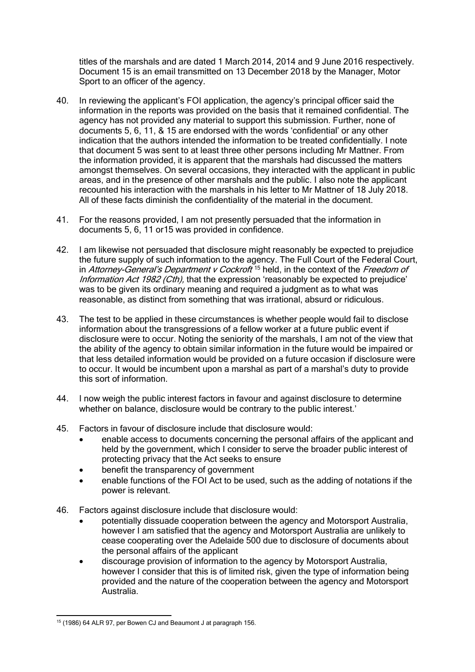titles of the marshals and are dated 1 March 2014, 2014 and 9 June 2016 respectively. Document 15 is an email transmitted on 13 December 2018 by the Manager, Motor Sport to an officer of the agency.

- 40. In reviewing the applicant's FOI application, the agency's principal officer said the information in the reports was provided on the basis that it remained confidential. The agency has not provided any material to support this submission. Further, none of documents 5, 6, 11, & 15 are endorsed with the words 'confidential' or any other indication that the authors intended the information to be treated confidentially. I note that document 5 was sent to at least three other persons including Mr Mattner. From the information provided, it is apparent that the marshals had discussed the matters amongst themselves. On several occasions, they interacted with the applicant in public areas, and in the presence of other marshals and the public. I also note the applicant recounted his interaction with the marshals in his letter to Mr Mattner of 18 July 2018. All of these facts diminish the confidentiality of the material in the document.
- 41. For the reasons provided, I am not presently persuaded that the information in documents 5, 6, 11 or15 was provided in confidence.
- 42. I am likewise not persuaded that disclosure might reasonably be expected to prejudice the future supply of such information to the agency. The Full Court of the Federal Court, in Attorney-General's Department  $v$  Cockroft<sup>[15](#page-7-0)</sup> held, in the context of the Freedom of Information Act 1982 (Cth), that the expression 'reasonably be expected to prejudice' was to be given its ordinary meaning and required a judgment as to what was reasonable, as distinct from something that was irrational, absurd or ridiculous.
- 43. The test to be applied in these circumstances is whether people would fail to disclose information about the transgressions of a fellow worker at a future public event if disclosure were to occur. Noting the seniority of the marshals, I am not of the view that the ability of the agency to obtain similar information in the future would be impaired or that less detailed information would be provided on a future occasion if disclosure were to occur. It would be incumbent upon a marshal as part of a marshal's duty to provide this sort of information.
- 44. I now weigh the public interest factors in favour and against disclosure to determine whether on balance, disclosure would be contrary to the public interest.'
- 45. Factors in favour of disclosure include that disclosure would:
	- enable access to documents concerning the personal affairs of the applicant and held by the government, which I consider to serve the broader public interest of protecting privacy that the Act seeks to ensure
	- benefit the transparency of government
	- enable functions of the FOI Act to be used, such as the adding of notations if the power is relevant.
- 46. Factors against disclosure include that disclosure would:
	- potentially dissuade cooperation between the agency and Motorsport Australia, however I am satisfied that the agency and Motorsport Australia are unlikely to cease cooperating over the Adelaide 500 due to disclosure of documents about the personal affairs of the applicant
	- discourage provision of information to the agency by Motorsport Australia, however I consider that this is of limited risk, given the type of information being provided and the nature of the cooperation between the agency and Motorsport Australia.

<span id="page-7-0"></span><sup>15</sup> (1986) 64 ALR 97, per Bowen CJ and Beaumont J at paragraph 156.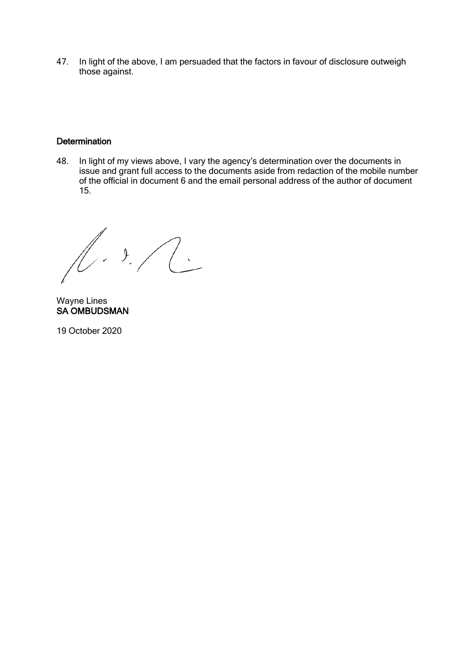47. In light of the above, I am persuaded that the factors in favour of disclosure outweigh those against.

### **Determination**

48. In light of my views above, I vary the agency's determination over the documents in issue and grant full access to the documents aside from redaction of the mobile number of the official in document 6 and the email personal address of the author of document 15.

 $\sqrt{1.3.7c}$ 

Wayne Lines SA OMBUDSMAN

19 October 2020